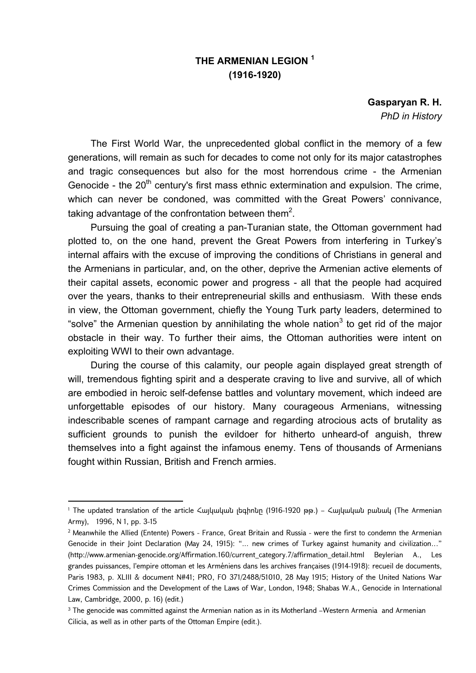## **THE ARMENIAN LEGION 1 (1916-1920)**

**Gasparyan R. H.**  *PhD in History* 

The First World War, the unprecedented global conflict in the memory of a few generations, will remain as such for decades to come not only for its major catastrophes and tragic consequences but also for the most horrendous crime - the Armenian Genocide - the  $20<sup>th</sup>$  century's first mass ethnic extermination and expulsion. The crime, which can never be condoned, was committed with the Great Powers' connivance, taking advantage of the confrontation between them<sup>2</sup>.

Pursuing the goal of creating a pan-Turanian state, the Ottoman government had plotted to, on the one hand, prevent the Great Powers from interfering in Turkey's internal affairs with the excuse of improving the conditions of Christians in general and the Armenians in particular, and, on the other, deprive the Armenian active elements of their capital assets, economic power and progress - all that the people had acquired over the years, thanks to their entrepreneurial skills and enthusiasm. With these ends in view, the Ottoman government, chiefly the Young Turk party leaders, determined to "solve" the Armenian question by annihilating the whole nation<sup>3</sup> to get rid of the major obstacle in their way. To further their aims, the Ottoman authorities were intent on exploiting WWI to their own advantage.

During the course of this calamity, our people again displayed great strength of will, tremendous fighting spirit and a desperate craving to live and survive, all of which are embodied in heroic self-defense battles and voluntary movement, which indeed are unforgettable episodes of our history. Many courageous Armenians, witnessing indescribable scenes of rampant carnage and regarding atrocious acts of brutality as sufficient grounds to punish the evildoer for hitherto unheard-of anguish, threw themselves into a fight against the infamous enemy. Tens of thousands of Armenians fought within Russian, British and French armies.

1

<sup>1</sup> The updated translation of the article Հայկական լեգիոնը (1916-1920 թթ.) – Հայկական բանակ (The Armenian Army), 1996, N 1, pp. 3-15

<sup>2</sup> Meanwhile the Allied (Entente) Powers - France, Great Britain and Russia - were the first to condemn the Armenian Genocide in their Joint Declaration (May 24, 1915): "... new crimes of Turkey against humanity and civilization..." (http://www.armenian-genocide.org/Affirmation.160/current\_category.7/affirmation\_detail.html Beylerian A., Les grandes puissances, l'empire ottoman et les Arméniens dans les archives françaises (1914-1918): recueil de documents, Paris 1983, p. XLIII & document N#41; PRO, FO 371/2488/51010, 28 May 1915; History of the United Nations War Crimes Commission and the Development of the Laws of War, London, 1948; Shabas W.A., Genocide in International Law, Cambridge, 2000, p. 16) (edit.)

<sup>&</sup>lt;sup>3</sup> The genocide was committed against the Armenian nation as in its Motherland –Western Armenia and Armenian Cilicia, as well as in other parts of the Ottoman Empire (edit.).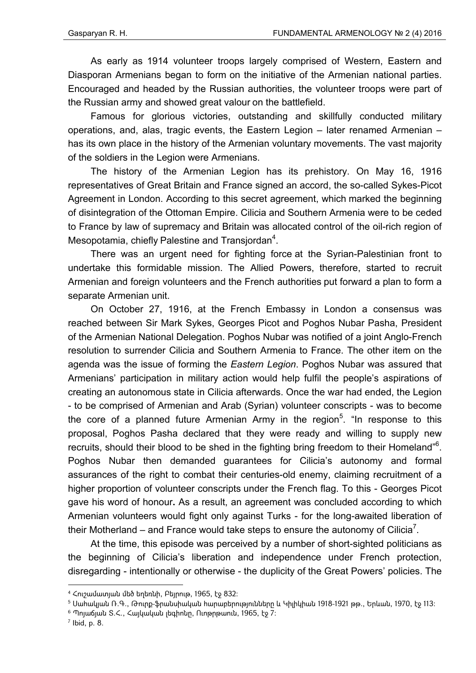As early as 1914 volunteer troops largely comprised of Western, Eastern and Diasporan Armenians began to form on the initiative of the Armenian national parties. Encouraged and headed by the Russian authorities, the volunteer troops were part of the Russian army and showed great valour on the battlefield.

Famous for glorious victories, outstanding and skillfully conducted military operations, and, alas, tragic events, the Eastern Legion – later renamed Armenian – has its own place in the history of the Armenian voluntary movements. The vast majority of the soldiers in the Legion were Armenians.

The history of the Armenian Legion has its prehistory. On May 16, 1916 representatives of Great Britain and France signed an accord, the so-called Sykes-Picot Agreement in London. According to this secret agreement, which marked the beginning of disintegration of the Ottoman Empire. Cilicia and Southern Armenia were to be ceded to France by law of supremacy and Britain was allocated control of the oil-rich region of Mesopotamia, chiefly Palestine and Transjordan<sup>4</sup>.

There was an urgent need for fighting force at the Syrian-Palestinian front to undertake this formidable mission. The Allied Powers, therefore, started to recruit Armenian and foreign volunteers and the French authorities put forward a plan to form a separate Armenian unit.

On October 27, 1916, at the French Embassy in London a consensus was reached between Sir Mark Sykes, Georges Picot and Poghos Nubar Pasha, President of the Armenian National Delegation. Poghos Nubar was notified of a joint Anglo-French resolution to surrender Cilicia and Southern Armenia to France. The other item on the agenda was the issue of forming the *Eastern Legion*. Poghos Nubar was assured that Armenians' participation in military action would help fulfil the people's aspirations of creating an autonomous state in Cilicia afterwards. Once the war had ended, the Legion - to be comprised of Armenian and Arab (Syrian) volunteer conscripts - was to become the core of a planned future Armenian Army in the region<sup>5</sup>. "In response to this proposal, Poghos Pasha declared that they were ready and willing to supply new recruits, should their blood to be shed in the fighting bring freedom to their Homeland"<sup>6</sup>. Poghos Nubar then demanded guarantees for Cilicia's autonomy and formal assurances of the right to combat their centuries-old enemy, claiming recruitment of a higher proportion of volunteer conscripts under the French flag. To this - Georges Picot gave his word of honour**.** As a result, an agreement was concluded according to which Armenian volunteers would fight only against Turks - for the long-awaited liberation of their Motherland – and France would take steps to ensure the autonomy of Cilicia<sup>7</sup>.

At the time, this episode was perceived by a number of short-sighted politicians as the beginning of Cilicia's liberation and independence under French protection, disregarding - intentionally or otherwise - the duplicity of the Great Powers' policies. The

 $^7$  Ibid, p. 8.

1

<sup>4</sup> Հուշամատյան մեծ եղեռնի, Բեյրութ, 1965, էջ 832:

 $5$  Սահակյան Ռ.Գ., Թուրք-ֆրանսիական հարաբերությունները և Կիլիկիան 1918-1921 թթ., Երևան, 1970, էջ 113։

 $6$  Պոլաճյան Տ.<., Հայկական լեգիոնը, Ուոթրթաուն, 1965, էջ 7: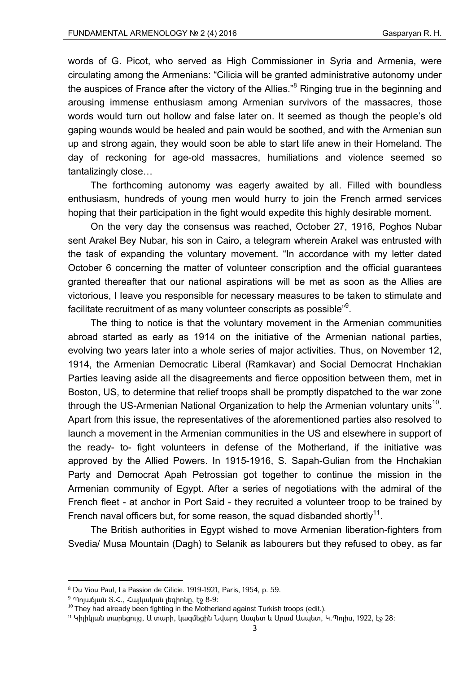words of G. Picot, who served as High Commissioner in Syria and Armenia, were circulating among the Armenians: "Cilicia will be granted administrative autonomy under the auspices of France after the victory of the Allies."<sup>8</sup> Ringing true in the beginning and arousing immense enthusiasm among Armenian survivors of the massacres, those words would turn out hollow and false later on. It seemed as though the people's old gaping wounds would be healed and pain would be soothed, and with the Armenian sun up and strong again, they would soon be able to start life anew in their Homeland. The day of reckoning for age-old massacres, humiliations and violence seemed so tantalizingly close…

The forthcoming autonomy was eagerly awaited by all. Filled with boundless enthusiasm, hundreds of young men would hurry to join the French armed services hoping that their participation in the fight would expedite this highly desirable moment.

On the very day the consensus was reached, October 27, 1916, Poghos Nubar sent Arakel Bey Nubar, his son in Cairo, a telegram wherein Arakel was entrusted with the task of expanding the voluntary movement. "In accordance with my letter dated October 6 concerning the matter of volunteer conscription and the official guarantees granted thereafter that our national aspirations will be met as soon as the Allies are victorious, I Ieave you responsible for necessary measures to be taken to stimulate and facilitate recruitment of as many volunteer conscripts as possible" $9$ .

The thing to notice is that the voluntary movement in the Armenian communities abroad started as early as 1914 on the initiative of the Armenian national parties, evolving two years later into a whole series of major activities. Thus, on November 12, 1914, the Armenian Democratic Liberal (Ramkavar) and Social Democrat Hnchakian Parties leaving aside all the disagreements and fierce opposition between them, met in Boston, US, to determine that relief troops shall be promptly dispatched to the war zone through the US-Armenian National Organization to help the Armenian voluntary units<sup>10</sup>. Apart from this issue, the representatives of the aforementioned parties also resolved to launch a movement in the Armenian communities in the US and elsewhere in support of the ready- to- fight volunteers in defense of the Motherland, if the initiative was approved by the Allied Powers. In 1915-1916, S. Sapah-Gulian from the Hnchakian Party and Democrat Apah Petrossian got together to continue the mission in the Armenian community of Egypt. After a series of negotiations with the admiral of the French fleet - at anchor in Port Said - they recruited a volunteer troop to be trained by French naval officers but, for some reason, the squad disbanded shortly<sup>11</sup>.

The British authorities in Egypt wished to move Armenian liberation-fighters from Svedia/ Musa Mountain (Dagh) to Selanik as labourers but they refused to obey, as far

<sup>8</sup> Du Viou Paul, La Passion de Cilicie. 1919-1921, Paris, 1954, p. 59.

 $9$  Պոլաճյան Տ.Հ., Հայկական լեգիոնը, էջ 8-9:

 $10$  They had already been fighting in the Motherland against Turkish troops (edit.).

<sup>11</sup> Կիլիկյան տարեցույց, Ա տարի, կազմեցին Նվարդ Ասպետ և Արամ Ասպետ, Կ.Պոլիս, 1922, էջ 28: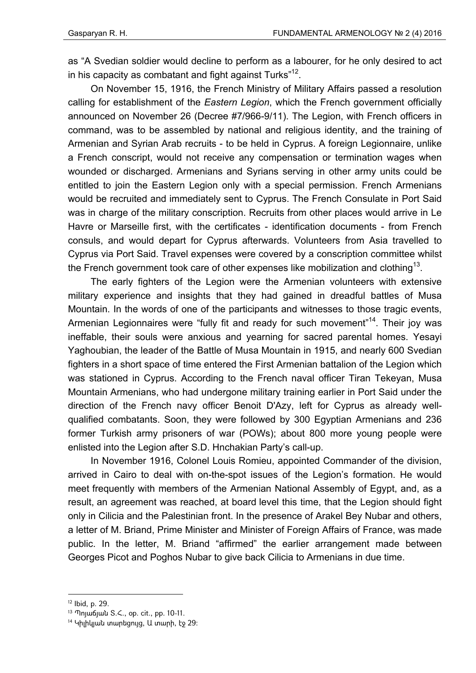as "A Svedian soldier would decline to perform as a labourer, for he only desired to act in his capacity as combatant and fight against Turks" $12$ .

On November 15, 1916, the French Ministry of Military Affairs passed a resolution calling for establishment of the *Eastern Legion*, which the French government officially announced on November 26 (Decree #7/966-9/11). The Legion, with French officers in command, was to be assembled by national and religious identity, and the training of Armenian and Syrian Arab recruits - to be held in Cyprus. A foreign Legionnaire, unlike a French conscript, would not receive any compensation or termination wages when wounded or discharged. Armenians and Syrians serving in other army units could be entitled to join the Eastern Legion only with a special permission. French Armenians would be recruited and immediately sent to Cyprus. The French Consulate in Port Said was in charge of the military conscription. Recruits from other places would arrive in Le Havre or Marseille first, with the certificates - identification documents - from French consuls, and would depart for Cyprus afterwards. Volunteers from Asia travelled to Cyprus via Port Said. Travel expenses were covered by a conscription committee whilst the French government took care of other expenses like mobilization and clothing<sup>13</sup>.

The early fighters of the Legion were the Armenian volunteers with extensive military experience and insights that they had gained in dreadful battles of Musa Mountain. In the words of one of the participants and witnesses to those tragic events, Armenian Legionnaires were "fully fit and ready for such movement"<sup>14</sup>. Their joy was ineffable, their souls were anxious and yearning for sacred parental homes. Yesayi Yaghoubian, the leader of the Battle of Musa Mountain in 1915, and nearly 600 Svedian fighters in a short space of time entered the First Armenian battalion of the Legion which was stationed in Cyprus. According to the French naval officer Tiran Tekeyan, Musa Mountain Armenians, who had undergone military training earlier in Port Said under the direction of the French navy officer Benoit D'Azy, left for Cyprus as already wellqualified combatants. Soon, they were followed by 300 Egyptian Armenians and 236 former Turkish army prisoners of war (POWs); about 800 more young people were enlisted into the Legion after S.D. Hnchakian Party's call-up.

In November 1916, Colonel Louis Romieu, appointed Commander of the division, arrived in Cairo to deal with on-the-spot issues of the Legion's formation. He would meet frequently with members of the Armenian National Assembly of Egypt, and, as a result, an agreement was reached, at board level this time, that the Legion should fight only in Cilicia and the Palestinian front. In the presence of Arakel Bey Nubar and others, a letter of M. Briand, Prime Minister and Minister of Foreign Affairs of France, was made public. In the letter, M. Briand "affirmed" the earlier arrangement made between Georges Picot and Poghos Nubar to give back Cilicia to Armenians in due time.

1

<sup>12</sup> Ibid, p. 29.

<sup>13</sup> Պոլաճյան S.<., op. cit., pp. 10-11.

 $14$  Կիլիկյան տարեցույց, Ա տարի, էջ 29: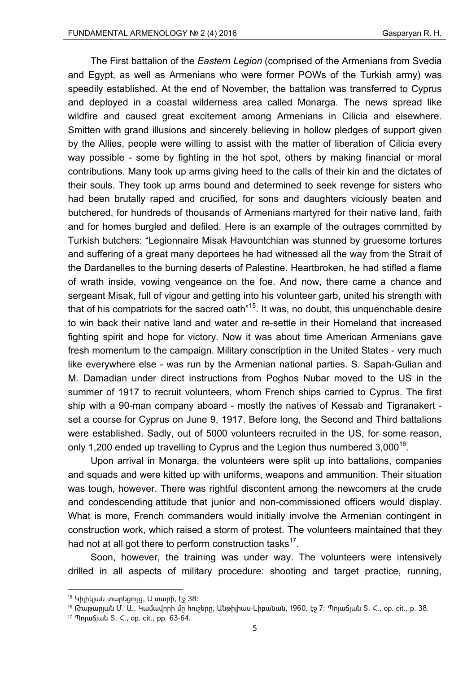The First battalion of the *Eastern Legion* (comprised of the Armenians from Svedia and Egypt, as well as Armenians who were former POWs of the Turkish army) was speedily established. At the end of November, the battalion was transferred to Cyprus and deployed in a coastal wilderness area called Monarga. The news spread like wildfire and caused great excitement among Armenians in Cilicia and elsewhere. Smitten with grand illusions and sincerely believing in hollow pledges of support given by the Allies, people were willing to assist with the matter of liberation of Cilicia every way possible - some by fighting in the hot spot, others by making financial or moral contributions. Many took up arms giving heed to the calls of their kin and the dictates of their souls. They took up arms bound and determined to seek revenge for sisters who had been brutally raped and crucified, for sons and daughters viciously beaten and butchered, for hundreds of thousands of Armenians martyred for their native land, faith and for homes burgled and defiled. Here is an example of the outrages committed by Turkish butchers: "Legionnaire Misak Havountchian was stunned by gruesome tortures and suffering of a great many deportees he had witnessed all the way from the Strait of the Dardanelles to the burning deserts of Palestine. Heartbroken, he had stifled a flame of wrath inside, vowing vengeance on the foe. And now, there came a chance and sergeant Misak, full of vigour and getting into his volunteer garb, united his strength with that of his compatriots for the sacred oath<sup>"15</sup>. It was, no doubt, this unquenchable desire to win back their native land and water and re-settle in their Homeland that increased fighting spirit and hope for victory. Now it was about time American Armenians gave fresh momentum to the campaign. Military conscription in the United States - very much like everywhere else - was run by the Armenian national parties. S. Sapah-Gulian and M. Damadian under direct instructions from Poghos Nubar moved to the US in the summer of 1917 to recruit volunteers, whom French ships carried to Cyprus. The first ship with a 90-man company aboard - mostly the natives of Kessab and Tigranakert set a course for Cyprus on June 9, 1917. Before long, the Second and Third battalions were established. Sadly, out of 5000 volunteers recruited in the US, for some reason, only 1,200 ended up travelling to Cyprus and the Legion thus numbered  $3,000^{16}$ .

Upon arrival in Monarga, the volunteers were split up into battalions, companies and squads and were kitted up with uniforms, weapons and ammunition. Their situation was tough, however. There was rightful discontent among the newcomers at the crude and condescending attitude that junior and non-commissioned officers would display. What is more, French commanders would initially involve the Armenian contingent in construction work, which raised a storm of protest. The volunteers maintained that they had not at all got there to perform construction tasks<sup>17</sup>.

Soon, however, the training was under way. The volunteers were intensively drilled in all aspects of military procedure: shooting and target practice, running,

 $15$  Կիլիկյան տարեցույց, Ա տարի, էջ 38:

<sup>16</sup> Թաթարյան Մ. Ա., Կամավորի մը հուշերը, Անթիլիաս-Լիբանան, 1960, էջ 7: Պոյաճյան Տ. Հ., op. cit., p. 38.

<sup>17</sup> Պոյաճյան S. <., op. cit., pp. 63-64.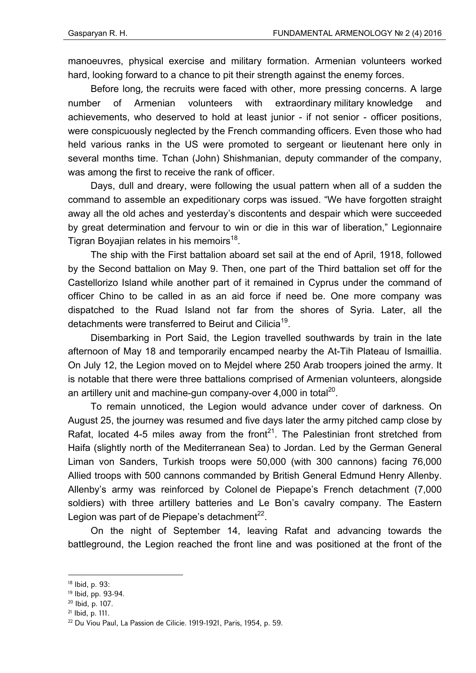manoeuvres, physical exercise and military formation. Armenian volunteers worked hard, looking forward to a chance to pit their strength against the enemy forces.

Before long, the recruits were faced with other, more pressing concerns. A large number of Armenian volunteers with extraordinary military knowledge and achievements, who deserved to hold at least junior - if not senior - officer positions, were conspicuously neglected by the French commanding officers. Even those who had held various ranks in the US were promoted to sergeant or lieutenant here only in several months time. Tchan (John) Shishmanian, deputy commander of the company, was among the first to receive the rank of officer.

Days, dull and dreary, were following the usual pattern when all of a sudden the command to assemble an expeditionary corps was issued. "We have forgotten straight away all the old aches and yesterday's discontents and despair which were succeeded by great determination and fervour to win or die in this war of liberation," Legionnaire Tigran Boyajian relates in his memoirs<sup>18</sup>.

The ship with the First battalion aboard set sail at the end of April, 1918, followed by the Second battalion on May 9. Then, one part of the Third battalion set off for the Castellorizo Island while another part of it remained in Cyprus under the command of officer Chino to be called in as an aid force if need be. One more company was dispatched to the Ruad Island not far from the shores of Syria. Later, all the detachments were transferred to Beirut and Cilicia<sup>19</sup>.

Disembarking in Port Said, the Legion travelled southwards by train in the late afternoon of May 18 and temporarily encamped nearby the At-Tih Plateau of Ismaillia. On July 12, the Legion moved on to Mejdel where 250 Arab troopers joined the army. It is notable that there were three battalions comprised of Armenian volunteers, alongside an artillery unit and machine-gun company-over  $4,000$  in total<sup>20</sup>.

To remain unnoticed, the Legion would advance under cover of darkness. On August 25, the journey was resumed and five days later the army pitched camp close by Rafat, located 4-5 miles away from the front<sup>21</sup>. The Palestinian front stretched from Haifa (slightly north of the Mediterranean Sea) to Jordan. Led by the German General Liman von Sanders, Turkish troops were 50,000 (with 300 cannons) facing 76,000 Allied troops with 500 cannons commanded by British General Edmund Henry Allenby. Allenby's army was reinforced by Colonel de Piepape's French detachment (7,000 soldiers) with three artillery batteries and Le Bon's cavalry company. The Eastern Legion was part of de Piepape's detachment $^{22}$ .

On the night of September 14, leaving Rafat and advancing towards the battleground, the Legion reached the front line and was positioned at the front of the

**.** 

21 Ibid, p. 111.

<sup>18</sup> Ibid, p. 93:

<sup>19</sup> Ibid, pp. 93-94.

<sup>20</sup> Ibid, p. 107.

<sup>22</sup> Du Viou Paul, La Passion de Cilicie. 1919-1921, Paris, 1954, p. 59.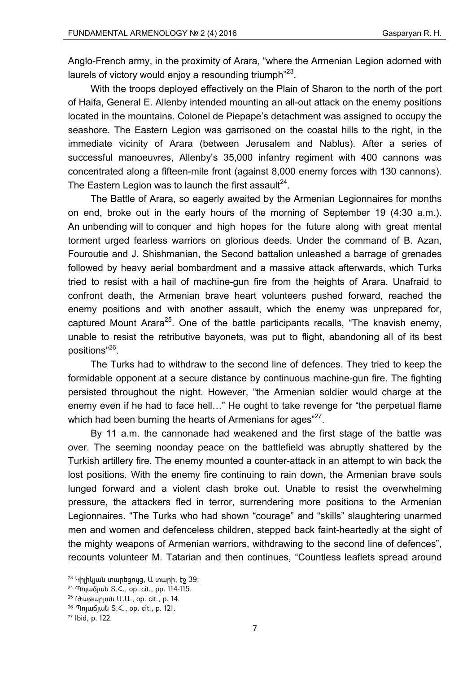Anglo-French army, in the proximity of Arara, "where the Armenian Legion adorned with laurels of victory would enjoy a resounding triumph $^{23}$ .

With the troops deployed effectively on the Plain of Sharon to the north of the port of Haifa, General E. Allenby intended mounting an all-out attack on the enemy positions located in the mountains. Colonel de Piepape's detachment was assigned to occupy the seashore. The Eastern Legion was garrisoned on the coastal hills to the right, in the immediate vicinity of Arara (between Jerusalem and Nablus). After a series of successful manoeuvres, Allenby's 35,000 infantry regiment with 400 cannons was concentrated along a fifteen-mile front (against 8,000 enemy forces with 130 cannons). The Eastern Legion was to launch the first assault<sup>24</sup>.

The Battle of Arara, so eagerly awaited by the Armenian Legionnaires for months on end, broke out in the early hours of the morning of September 19 (4:30 a.m.). An unbending will to conquer and high hopes for the future along with great mental torment urged fearless warriors on glorious deeds. Under the command of B. Azan, Fouroutie and J. Shishmanian, the Second battalion unleashed a barrage of grenades followed by heavy aerial bombardment and a massive attack afterwards, which Turks tried to resist with a hail of machine-gun fire from the heights of Arara. Unafraid to confront death, the Armenian brave heart volunteers pushed forward, reached the enemy positions and with another assault, which the enemy was unprepared for, captured Mount Arara<sup>25</sup>. One of the battle participants recalls, "The knavish enemy, unable to resist the retributive bayonets, was put to flight, abandoning all of its best positions"<sup>26</sup>.

The Turks had to withdraw to the second line of defences. They tried to keep the formidable opponent at a secure distance by continuous machine-gun fire. The fighting persisted throughout the night. However, "the Armenian soldier would charge at the enemy even if he had to face hell…" He ought to take revenge for "the perpetual flame which had been burning the hearts of Armenians for ages"27.

By 11 a.m. the cannonade had weakened and the first stage of the battle was over. The seeming noonday peace on the battlefield was abruptly shattered by the Turkish artillery fire. The enemy mounted a counter-attack in an attempt to win back the lost positions*.* With the enemy fire continuing to rain down, the Armenian brave souls lunged forward and a violent clash broke out. Unable to resist the overwhelming pressure, the attackers fled in terror, surrendering more positions to the Armenian Legionnaires. "The Turks who had shown "courage" and "skills" slaughtering unarmed men and women and defenceless children, stepped back faint-heartedly at the sight of the mighty weapons of Armenian warriors, withdrawing to the second line of defences", recounts volunteer M. Tatarian and then continues, "Countless leaflets spread around

 $23$  Կիլիկյան տարեցույց, Ա տարի, էջ 39:

<sup>24</sup> Պոյաճյան Տ.Հ., op. cit., pp. 114-115.

<sup>25</sup> Թաթարյան Մ.Ա., op. cit., p. 14.

<sup>26</sup> Պոյաճյան Տ.Հ., op. cit., p. 121.

<sup>27</sup> Ibid, p. 122.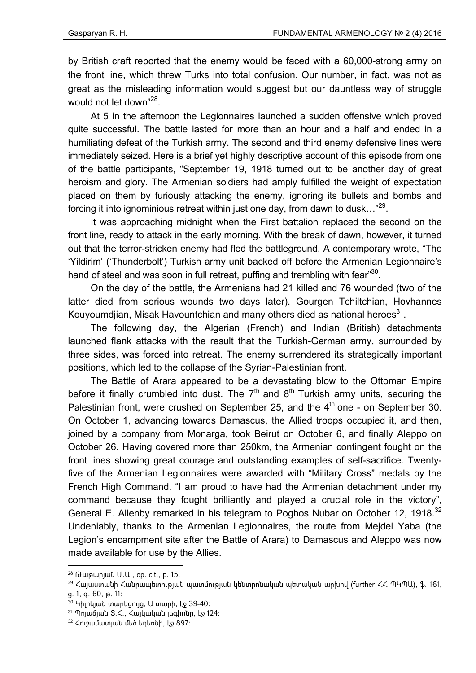by British craft reported that the enemy would be faced with a 60,000-strong army on the front line, which threw Turks into total confusion. Our number, in fact, was not as great as the misleading information would suggest but our dauntless way of struggle would not let down"<sup>28</sup>.

At 5 in the afternoon the Legionnaires launched a sudden offensive which proved quite successful. The battle lasted for more than an hour and a half and ended in a humiliating defeat of the Turkish army. The second and third enemy defensive lines were immediately seized. Here is a brief yet highly descriptive account of this episode from one of the battle participants, "September 19, 1918 turned out to be another day of great heroism and glory. The Armenian soldiers had amply fulfilled the weight of expectation placed on them by furiously attacking the enemy, ignoring its bullets and bombs and forcing it into ignominious retreat within just one day, from dawn to dusk…"29.

It was approaching midnight when the First battalion replaced the second on the front line, ready to attack in the early morning. With the break of dawn, however, it turned out that the terror-stricken enemy had fled the battleground. A contemporary wrote, "The 'Yildirim' ('Thunderbolt') Turkish army unit backed off before the Armenian Legionnaire's hand of steel and was soon in full retreat, puffing and trembling with fear"<sup>30</sup>.

On the day of the battle, the Armenians had 21 killed and 76 wounded (two of the latter died from serious wounds two days later). Gourgen Tchiltchian, Hovhannes Kouyoumdjian, Misak Havountchian and many others died as national heroes<sup>31</sup>.

The following day, the Algerian (French) and Indian (British) detachments launched flank attacks with the result that the Turkish-German army, surrounded by three sides, was forced into retreat. The enemy surrendered its strategically important positions, which led to the collapse of the Syrian-Palestinian front.

The Battle of Arara appeared to be a devastating blow to the Ottoman Empire before it finally crumbled into dust. The  $7<sup>th</sup>$  and  $8<sup>th</sup>$  Turkish army units, securing the Palestinian front, were crushed on September 25, and the  $4<sup>th</sup>$  one - on September 30. On October 1, advancing towards Damascus, the Allied troops occupied it, and then, joined by a company from Monarga, took Beirut on October 6, and finally Aleppo on October 26. Having covered more than 250km, the Armenian contingent fought on the front lines showing great courage and outstanding examples of self-sacrifice. Twentyfive of the Armenian Legionnaires were awarded with "Military Cross" medals by the French High Command. "I am proud to have had the Armenian detachment under my command because they fought brilliantly and played a crucial role in the victory", General E. Allenby remarked in his telegram to Poghos Nubar on October 12, 1918.<sup>32</sup> Undeniably, thanks to the Armenian Legionnaires, the route from Mejdel Yaba (the Legion's encampment site after the Battle of Arara) to Damascus and Aleppo was now made available for use by the Allies.

<sup>28</sup> Թաթարյան Մ.Ա., op. cit., p. 15.

 $^{29}$  Հայաստանի Հանրապետության պատմության կենտրոնական պետական արխիվ (further ՀՀ ՊԿՊԱ), ֆ. 161, ց. 1, գ. 60, թ. 11:

 $30$  Կիլիկյան տարեցույց, Ա տարի, էջ 39-40:

 $31$  Պոլաճյան S.<., Հայկական լեգիոնը, էջ 124:

 $32$  Հուշամատյան մեծ եղեռնի, էջ 897: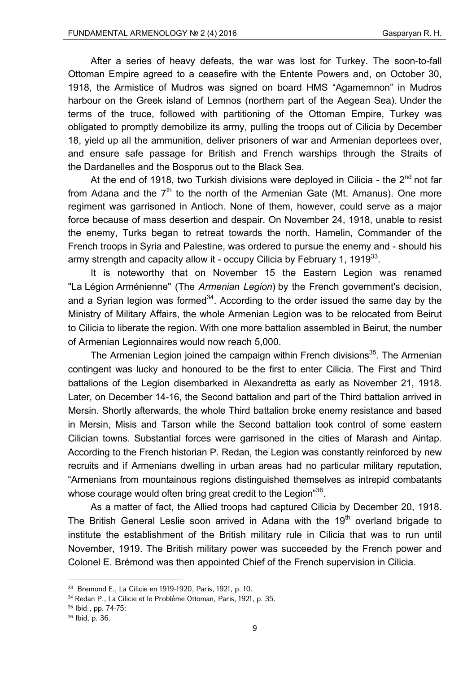After a series of heavy defeats, the war was lost for Turkey. The soon-to-fall Ottoman Empire agreed to a ceasefire with the Entente Powers and, on October 30, 1918, the Armistice of Mudros was signed on board HMS "Agamemnon" in Mudros harbour on the Greek island of Lemnos (northern part of the Aegean Sea). Under the terms of the truce, followed with partitioning of the Ottoman Empire, Turkey was obligated to promptly demobilize its army, pulling the troops out of Cilicia by December 18, yield up all the ammunition, deliver prisoners of war and Armenian deportees over, and ensure safe passage for British and French warships through the Straits of the Dardanelles and the Bosporus out to the Black Sea.

At the end of 1918, two Turkish divisions were deployed in Cilicia - the  $2^{nd}$  not far from Adana and the  $7<sup>th</sup>$  to the north of the Armenian Gate (Mt. Amanus). One more regiment was garrisoned in Antioch. None of them, however, could serve as a major force because of mass desertion and despair. On November 24, 1918, unable to resist the enemy, Turks began to retreat towards the north. Hamelin, Commander of the French troops in Syria and Palestine, was ordered to pursue the enemy and - should his army strength and capacity allow it - occupy Cilicia by February 1, 1919 $33$ .

It is noteworthy that on November 15 the Eastern Legion was renamed "La Légion Arménienne" (The *Armenian Legion*) by the French government's decision, and a Syrian legion was formed<sup>34</sup>. According to the order issued the same day by the Ministry of Military Affairs, the whole Armenian Legion was to be relocated from Beirut to Cilicia to liberate the region. With one more battalion assembled in Beirut, the number of Armenian Legionnaires would now reach 5,000.

The Armenian Legion joined the campaign within French divisions<sup>35</sup>. The Armenian contingent was lucky and honoured to be the first to enter Cilicia. The First and Third battalions of the Legion disembarked in Alexandretta as early as November 21, 1918. Later, on December 14-16, the Second battalion and part of the Third battalion arrived in Mersin. Shortly afterwards, the whole Third battalion broke enemy resistance and based in Mersin, Misis and Tarson while the Second battalion took control of some eastern Cilician towns. Substantial forces were garrisoned in the cities of Marash and Aintap. According to the French historian P. Redan, the Legion was constantly reinforced by new recruits and if Armenians dwelling in urban areas had no particular military reputation, "Armenians from mountainous regions distinguished themselves as intrepid combatants whose courage would often bring great credit to the Legion<sup>36</sup>.

As a matter of fact, the Allied troops had captured Cilicia by December 20, 1918. The British General Leslie soon arrived in Adana with the 19<sup>th</sup> overland brigade to institute the establishment of the British military rule in Cilicia that was to run until November, 1919. The British military power was succeeded by the French power and Colonel E. Brémond was then appointed Chief of the French supervision in Cilicia.

<sup>33</sup> Bremond E., La Cilicie en 1919-1920, Paris, 1921, p. 10.

<sup>34</sup> Redan P., La Cilicie et le Problème Ottoman, Paris, 1921, p. 35.

<sup>35</sup> Ibid., pp. 74-75:

<sup>36</sup> Ibid, p. 36.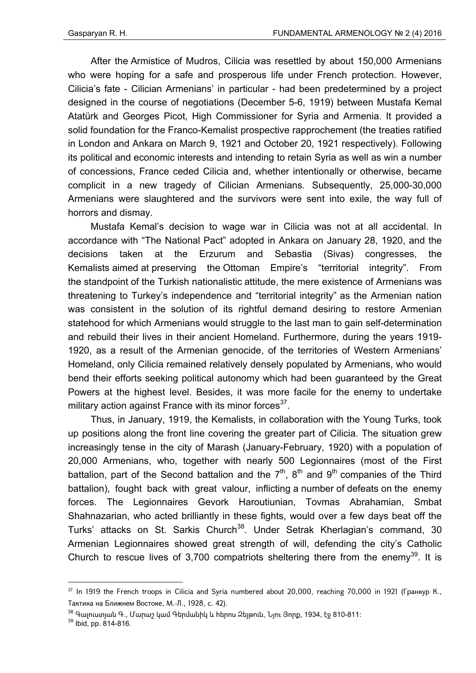After the Armistice of Mudros, Cilicia was resettled by about 150,000 Armenians who were hoping for a safe and prosperous life under French protection. However, Cilicia's fate - Cilician Armenians' in particular - had been predetermined by a project designed in the course of negotiations (December 5-6, 1919) between Mustafa Kemal Atatürk and Georges Picot, High Commissioner for Syria and Armenia. It provided a solid foundation for the Franco-Kemalist prospective rapprochement (the treaties ratified in London and Ankara on March 9, 1921 and October 20, 1921 respectively). Following its political and economic interests and intending to retain Syria as well as win a number of concessions, France ceded Cilicia and, whether intentionally or otherwise, became complicit in a new tragedy of Cilician Armenians. Subsequently, 25,000-30,000 Armenians were slaughtered and the survivors were sent into exile, the way full of horrors and dismay.

Mustafa Kemal's decision to wage war in Cilicia was not at all accidental. In accordance with "The National Pact" adopted in Ankara on January 28, 1920, and the decisions taken at the Erzurum and Sebastia (Sivas) congresses, the Kemalists aimed at preserving the Ottoman Empire's "territorial integrity". From the standpoint of the Turkish nationalistic attitude, the mere existence of Armenians was threatening to Turkey's independence and "territorial integrity" as the Armenian nation was consistent in the solution of its rightful demand desiring to restore Armenian statehood for which Armenians would struggle to the last man to gain self-determination and rebuild their lives in their ancient Homeland. Furthermore, during the years 1919- 1920, as a result of the Armenian genocide, of the territories of Western Armenians' Homeland, only Cilicia remained relatively densely populated by Armenians, who would bend their efforts seeking political autonomy which had been guaranteed by the Great Powers at the highest level. Besides, it was more facile for the enemy to undertake military action against France with its minor forces $^{37}$ .

Thus, in January, 1919, the Kemalists, in collaboration with the Young Turks, took up positions along the front line covering the greater part of Cilicia. The situation grew increasingly tense in the city of Marash (January-February, 1920) with a population of 20,000 Armenians, who, together with nearly 500 Legionnaires (most of the First battalion, part of the Second battalion and the  $7<sup>th</sup>$ ,  $8<sup>th</sup>$  and  $9<sup>th</sup>$  companies of the Third battalion), fought back with great valour, inflicting a number of defeats on the enemy forces. The Legionnaires Gevork Haroutiunian, Tovmas Abrahamian, Smbat Shahnazarian, who acted brilliantly in these fights, would over a few days beat off the Turks' attacks on St. Sarkis Church<sup>38</sup>. Under Setrak Kherlagian's command, 30 Armenian Legionnaires showed great strength of will, defending the city's Catholic Church to rescue lives of 3,700 compatriots sheltering there from the enemy<sup>39</sup>. It is

<sup>&</sup>lt;sup>37</sup> In 1919 the French troops in Cilicia and Syria numbered about 20.000, reaching 70.000 in 1921 (Гранкур К., Тактика на Ближнем Востоке, М.-Л., 1928, с. 42).

<sup>&</sup>lt;sup>38</sup> Գալուստյան Գ., Մարաշ կամ Գերմանիկ և հերոս Ջեյթուն, Նյու Յորք, 1934, էջ 810-811։<br><sup>39</sup> Ibid, pp. 814-816.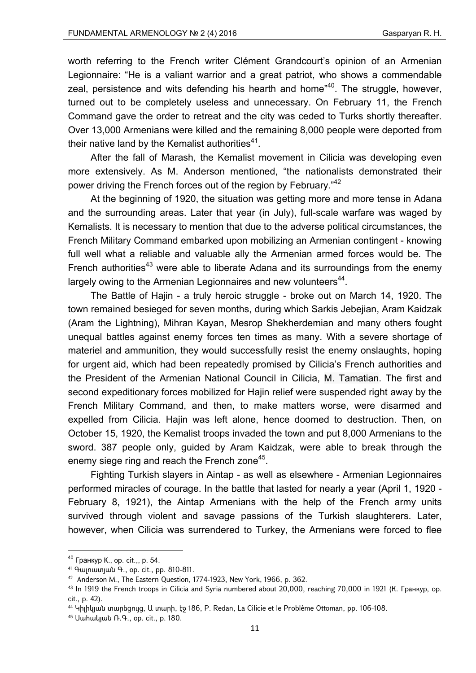worth referring to the French writer Clément Grandcourt's opinion of an Armenian Legionnaire: "He is a valiant warrior and a great patriot, who shows a commendable zeal, persistence and wits defending his hearth and home<sup>"40</sup>. The struggle, however, turned out to be completely useless and unnecessary. On February 11, the French Command gave the order to retreat and the city was ceded to Turks shortly thereafter. Over 13,000 Armenians were killed and the remaining 8,000 people were deported from their native land by the Kemalist authorities $41$ .

After the fall of Marash, the Kemalist movement in Cilicia was developing even more extensively. As M. Anderson mentioned, "the nationalists demonstrated their power driving the French forces out of the region by February."<sup>42</sup>

At the beginning of 1920, the situation was getting more and more tense in Adana and the surrounding areas. Later that year (in July), full-scale warfare was waged by Kemalists. It is necessary to mention that due to the adverse political circumstances, the French Military Command embarked upon mobilizing an Armenian contingent - knowing full well what a reliable and valuable ally the Armenian armed forces would be. The French authorities<sup>43</sup> were able to liberate Adana and its surroundings from the enemy largely owing to the Armenian Legionnaires and new volunteers<sup>44</sup>.

The Battle of Hajin - a truly heroic struggle - broke out on March 14, 1920. The town remained besieged for seven months, during which Sarkis Jebejian, Aram Kaidzak (Aram the Lightning), Mihran Kayan, Mesrop Shekherdemian and many others fought unequal battles against enemy forces ten times as many. With a severe shortage of materiel and ammunition, they would successfully resist the enemy onslaughts, hoping for urgent aid, which had been repeatedly promised by Cilicia's French authorities and the President of the Armenian National Council in Cilicia, M. Tamatian. The first and second expeditionary forces mobilized for Hajin relief were suspended right away by the French Military Command, and then, to make matters worse, were disarmed and expelled from Cilicia. Hajin was left alone, hence doomed to destruction. Then, on October 15, 1920, the Kemalist troops invaded the town and put 8,000 Armenians to the sword. 387 people only, guided by Aram Kaidzak, were able to break through the enemy siege ring and reach the French zone<sup>45</sup>.

Fighting Turkish slayers in Aintap - as well as elsewhere - Armenian Legionnaires performed miracles of courage. In the battle that lasted for nearly a year (April 1, 1920 - February 8, 1921), the Aintap Armenians with the help of the French army units survived through violent and savage passions of the Turkish slaughterers. Later, however, when Cilicia was surrendered to Turkey, the Armenians were forced to flee

 $40$  Гранкур К., op. cit.,, p. 54.

<sup>41</sup> Գալուստյան Գ., op. cit., pp. 810-811.

<sup>42</sup> Anderson M., The Eastern Question, 1774-1923, New York, 1966, p. 362.

<sup>43</sup> In 1919 the French troops in Cilicia and Syria numbered about 20,000, reaching 70,000 in 1921 (К. Гранкур, op. cit., p. 42).

<sup>44</sup> Կիլիկյան տարեցույց, Ա տարի, էջ 186, P. Redan, La Cilicie et le Problème Ottoman, pp. 106-108.

<sup>45</sup> Սահակյան Ռ.Գ., op. cit., p. 180.